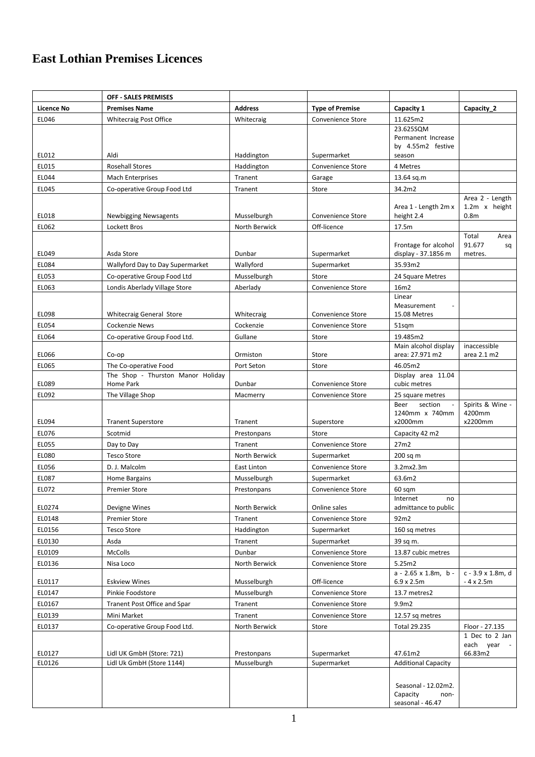## **East Lothian Premises Licences**

|                   | <b>OFF - SALES PREMISES</b>                            |                            |                                        |                                                             |                                                      |
|-------------------|--------------------------------------------------------|----------------------------|----------------------------------------|-------------------------------------------------------------|------------------------------------------------------|
| <b>Licence No</b> | <b>Premises Name</b>                                   | <b>Address</b>             | <b>Type of Premise</b>                 | Capacity 1                                                  | Capacity 2                                           |
| EL046             | <b>Whitecraig Post Office</b>                          | Whitecraig                 | Convenience Store                      | 11.625m2                                                    |                                                      |
|                   |                                                        |                            |                                        | 23.625SQM                                                   |                                                      |
|                   |                                                        |                            |                                        | Permanent Increase<br>by 4.55m2 festive                     |                                                      |
| EL012             | Aldi                                                   | Haddington                 | Supermarket                            | season                                                      |                                                      |
| EL015             | <b>Rosehall Stores</b>                                 | Haddington                 | Convenience Store                      | 4 Metres                                                    |                                                      |
| EL044             | Mach Enterprises                                       | Tranent                    | Garage                                 | 13.64 sq.m                                                  |                                                      |
| EL045             | Co-operative Group Food Ltd                            | Tranent                    | Store                                  | 34.2m2                                                      |                                                      |
| EL018             | <b>Newbigging Newsagents</b>                           | Musselburgh                | Convenience Store                      | Area 1 - Length 2m x<br>height 2.4                          | Area 2 - Length<br>1.2m x height<br>0.8 <sub>m</sub> |
| EL062             | Lockett Bros                                           | North Berwick              | Off-licence                            | 17.5m                                                       |                                                      |
|                   |                                                        |                            |                                        |                                                             | Total<br>Area                                        |
| EL049             | Asda Store                                             | Dunbar                     | Supermarket                            | Frontage for alcohol<br>display - 37.1856 m                 | 91.677<br>sq<br>metres.                              |
| EL084             | Wallyford Day to Day Supermarket                       | Wallyford                  | Supermarket                            | 35.93m2                                                     |                                                      |
| EL053             | Co-operative Group Food Ltd                            | Musselburgh                | Store                                  | 24 Square Metres                                            |                                                      |
| EL063             | Londis Aberlady Village Store                          | Aberlady                   | Convenience Store                      | 16m2                                                        |                                                      |
|                   |                                                        |                            |                                        | Linear                                                      |                                                      |
|                   |                                                        |                            |                                        | Measurement                                                 |                                                      |
| EL098             | <b>Whitecraig General Store</b>                        | Whitecraig                 | Convenience Store                      | 15.08 Metres                                                |                                                      |
| EL054             | Cockenzie News                                         | Cockenzie                  | Convenience Store                      | 51sqm                                                       |                                                      |
| EL064             | Co-operative Group Food Ltd.                           | Gullane                    | Store                                  | 19.485m2<br>Main alcohol display                            | inaccessible                                         |
| EL066             | Co-op                                                  | Ormiston                   | Store                                  | area: 27.971 m2                                             | area 2.1 m2                                          |
| EL065             | The Co-operative Food                                  | Port Seton                 | Store                                  | 46.05m2                                                     |                                                      |
| EL089             | The Shop - Thurston Manor Holiday<br>Home Park         | Dunbar                     | Convenience Store                      | Display area 11.04<br>cubic metres                          |                                                      |
| EL092             | The Village Shop                                       | Macmerry                   | Convenience Store                      | 25 square metres                                            |                                                      |
| EL094             | <b>Tranent Superstore</b>                              | Tranent                    | Superstore                             | section<br>Beer<br>1240mm x 740mm<br>x2000mm                | Spirits & Wine -<br>4200mm<br>x2200mm                |
| EL076             | Scotmid                                                | Prestonpans                | Store                                  | Capacity 42 m2                                              |                                                      |
| EL055             | Day to Day                                             | Tranent                    | Convenience Store                      | 27m2                                                        |                                                      |
| EL080             | <b>Tesco Store</b>                                     | North Berwick              | Supermarket                            | 200 sq m                                                    |                                                      |
| EL056             | D. J. Malcolm                                          | East Linton                | Convenience Store                      | 3.2mx2.3m                                                   |                                                      |
| EL087             | Home Bargains                                          | Musselburgh                | Supermarket                            | 63.6m2                                                      |                                                      |
| EL072             | <b>Premier Store</b>                                   | Prestonpans                | Convenience Store                      | 60 sqm                                                      |                                                      |
|                   |                                                        |                            |                                        | Internet<br>no                                              |                                                      |
| EL0274            | Devigne Wines                                          | North Berwick              | Online sales                           | admittance to public                                        |                                                      |
| EL0148            | <b>Premier Store</b>                                   | Tranent                    | Convenience Store                      | 92m2                                                        |                                                      |
| EL0156            | <b>Tesco Store</b>                                     | Haddington                 | Supermarket                            | 160 sq metres                                               |                                                      |
| EL0130<br>EL0109  | Asda<br><b>McColls</b>                                 | Tranent<br>Dunbar          | Supermarket<br>Convenience Store       | 39 sq m.<br>13.87 cubic metres                              |                                                      |
| EL0136            | Nisa Loco                                              | North Berwick              | Convenience Store                      | 5.25m2                                                      |                                                      |
|                   |                                                        |                            |                                        | $a - 2.65 \times 1.8$ m, b -                                | c - 3.9 x 1.8m, d                                    |
| EL0117<br>EL0147  | <b>Eskview Wines</b><br>Pinkie Foodstore               | Musselburgh<br>Musselburgh | Off-licence<br>Convenience Store       | $6.9 \times 2.5m$<br>13.7 metres2                           | $-4x2.5m$                                            |
| EL0167            |                                                        | Tranent                    |                                        |                                                             |                                                      |
| EL0139            | <b>Tranent Post Office and Spar</b><br>Mini Market     | Tranent                    | Convenience Store<br>Convenience Store | 9.9m2<br>12.57 sq metres                                    |                                                      |
| EL0137            | Co-operative Group Food Ltd.                           | North Berwick              | Store                                  | Total 29.235                                                | Floor - 27.135                                       |
|                   |                                                        |                            |                                        | 47.61m2                                                     | 1 Dec to 2 Jan<br>each year -                        |
| EL0127<br>EL0126  | Lidl UK GmbH (Store: 721)<br>Lidl Uk GmbH (Store 1144) | Prestonpans<br>Musselburgh | Supermarket<br>Supermarket             | <b>Additional Capacity</b>                                  | 66.83m2                                              |
|                   |                                                        |                            |                                        | Seasonal - 12.02m2.<br>Capacity<br>non-<br>seasonal - 46.47 |                                                      |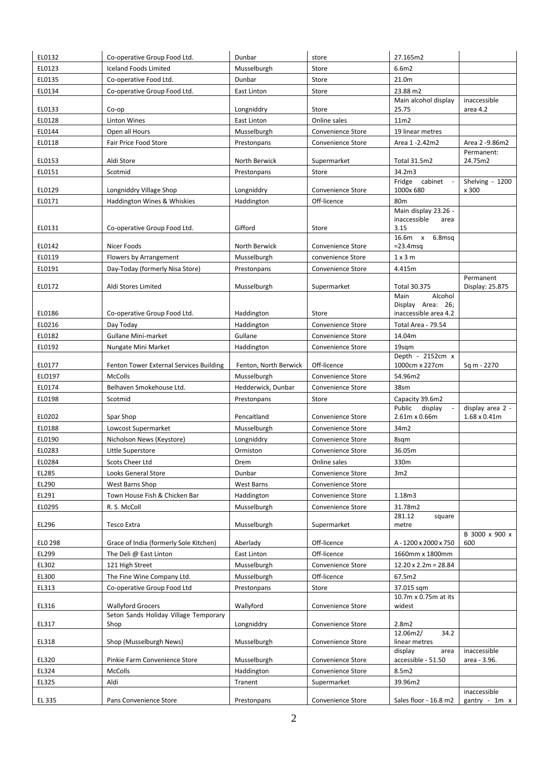| EL0132  | Co-operative Group Food Ltd.            | Dunbar                | store                    | 27.165m2                              |                       |
|---------|-----------------------------------------|-----------------------|--------------------------|---------------------------------------|-----------------------|
| EL0123  | <b>Iceland Foods Limited</b>            | Musselburgh           | Store                    | 6.6m2                                 |                       |
| EL0135  | Co-operative Food Ltd.                  | Dunbar                | Store                    | 21.0m                                 |                       |
| EL0134  | Co-operative Group Food Ltd.            | East Linton           | Store                    | 23.88 m2                              |                       |
|         |                                         |                       |                          | Main alcohol display                  | inaccessible          |
| EL0133  | Co-op                                   | Longniddry            | Store                    | 25.75                                 | area 4.2              |
| EL0128  | <b>Linton Wines</b>                     | East Linton           | Online sales             | 11m2                                  |                       |
| EL0144  | Open all Hours                          | Musselburgh           | <b>Convenience Store</b> | 19 linear metres                      |                       |
| EL0118  | Fair Price Food Store                   | Prestonpans           | Convenience Store        | Area 1 -2.42m2                        | Area 2 -9.86m2        |
| EL0153  | Aldi Store                              | North Berwick         | Supermarket              | Total 31.5m2                          | Permanent:<br>24.75m2 |
| EL0151  | Scotmid                                 | Prestonpans           | Store                    | 34.2m3                                |                       |
|         |                                         |                       |                          | Fridge cabinet                        | Shelving - 1200       |
| EL0129  | Longniddry Village Shop                 | Longniddry            | Convenience Store        | 1000x 680                             | x 300                 |
| EL0171  | Haddington Wines & Whiskies             | Haddington            | Off-licence              | 80 <sub>m</sub>                       |                       |
|         |                                         |                       |                          | Main display 23.26 -                  |                       |
| EL0131  | Co-operative Group Food Ltd.            | Gifford               | Store                    | inaccessible<br>area<br>3.15          |                       |
|         |                                         |                       |                          | 16.6m x<br>6.8msq                     |                       |
| EL0142  | Nicer Foods                             | North Berwick         | Convenience Store        | $= 23.4$ msq                          |                       |
| EL0119  | Flowers by Arrangement                  | Musselburgh           | convenience Store        | 1x3m                                  |                       |
| EL0191  | Day-Today (formerly Nisa Store)         | Prestonpans           | Convenience Store        | 4.415m                                |                       |
|         |                                         |                       |                          |                                       | Permanent             |
| EL0172  | Aldi Stores Limited                     | Musselburgh           | Supermarket              | Total 30.375<br>Alcohol<br>Main       | Display: 25.875       |
|         |                                         |                       |                          | Display Area: 26;                     |                       |
| EL0186  | Co-operative Group Food Ltd.            | Haddington            | Store                    | inaccessible area 4.2                 |                       |
| EL0216  | Day Today                               | Haddington            | <b>Convenience Store</b> | Total Area - 79.54                    |                       |
| EL0182  | Gullane Mini-market                     | Gullane               | Convenience Store        | 14.04m                                |                       |
| EL0192  | Nungate Mini Market                     | Haddington            | Convenience Store        | 19sqm                                 |                       |
|         |                                         |                       |                          | Depth - 2152cm x                      |                       |
| EL0177  | Fenton Tower External Services Building | Fenton, North Berwick | Off-licence              | 1000cm x 227cm                        | Sq m - 2270           |
| ELO197  | <b>McColls</b>                          | Musselburgh           | Convenience Store        | 54.96m2                               |                       |
| EL0174  | Belhaven Smokehouse Ltd.                | Hedderwick, Dunbar    | Convenience Store        | 38sm                                  |                       |
| EL0198  | Scotmid                                 | Prestonpans           | Store                    | Capacity 39.6m2<br>Public             | display area 2 -      |
| EL0202  | Spar Shop                               | Pencaitland           | Convenience Store        | display<br>2.61m x 0.66m              | $1.68 \times 0.41$ m  |
| EL0188  | Lowcost Supermarket                     | Musselburgh           | Convenience Store        | 34m2                                  |                       |
| EL0190  | Nicholson News (Keystore)               | Longniddry            | Convenience Store        | 8sqm                                  |                       |
| EL0283  | Little Superstore                       | Ormiston              | Convenience Store        | 36.05m                                |                       |
| EL0284  | Scots Cheer Ltd                         | Drem                  | Online sales             | 330m                                  |                       |
| EL285   | Looks General Store                     | Dunbar                | Convenience Store        | 3m2                                   |                       |
| EL290   | West Barns Shop                         | West Barns            | Convenience Store        |                                       |                       |
| EL291   | Town House Fish & Chicken Bar           | Haddington            | Convenience Store        | 1.18m3                                |                       |
| EL0295  | R. S. McColl                            | Musselburgh           | Convenience Store        | 31.78m2                               |                       |
|         |                                         |                       |                          | 281.12<br>square                      |                       |
| EL296   | Tesco Extra                             | Musselburgh           | Supermarket              | metre                                 |                       |
| ELO 298 | Grace of India (formerly Sole Kitchen)  | Aberlady              | Off-licence              | A-1200 x 2000 x 750                   | B 3000 x 900 x<br>600 |
| EL299   | The Deli @ East Linton                  | East Linton           | Off-licence              | 1660mm x 1800mm                       |                       |
| EL302   | 121 High Street                         | Musselburgh           | Convenience Store        | $12.20 \times 2.2m = 28.84$           |                       |
| EL300   | The Fine Wine Company Ltd.              | Musselburgh           | Off-licence              | 67.5m2                                |                       |
| EL313   | Co-operative Group Food Ltd             | Prestonpans           | Store                    | 37.015 sqm                            |                       |
|         |                                         |                       |                          | 10.7m x 0.75m at its                  |                       |
| EL316   | <b>Wallyford Grocers</b>                | Wallyford             | Convenience Store        | widest                                |                       |
|         | Seton Sands Holiday Village Temporary   |                       |                          |                                       |                       |
| EL317   | Shop                                    | Longniddry            | Convenience Store        | 2.8 <sub>m2</sub><br>12.06m2/<br>34.2 |                       |
| EL318   | Shop (Musselburgh News)                 | Musselburgh           | Convenience Store        | linear metres                         |                       |
|         |                                         |                       |                          | display<br>area                       | inaccessible          |
| EL320   | Pinkie Farm Convenience Store           | Musselburgh           | Convenience Store        | accessible - 51.50                    | area - 3.96.          |
| EL324   | McColls                                 | Haddington            | Convenience Store        | 8.5m2                                 |                       |
| EL325   | Aldi                                    | Tranent               | Supermarket              | 39.96m2                               |                       |
|         |                                         |                       |                          |                                       | inaccessible          |
| EL 335  | Pans Convenience Store                  | Prestonpans           | Convenience Store        | Sales floor - 16.8 m2                 | gantry - 1m x         |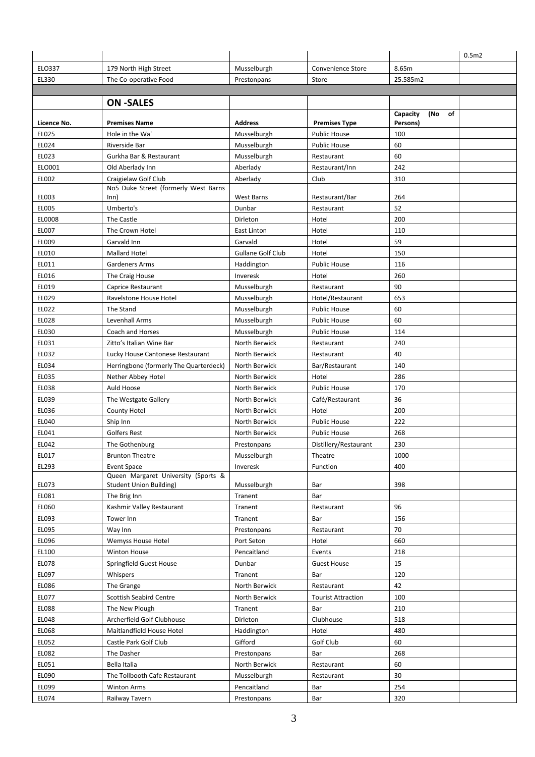|             |                                                                       |                          |                           |                       | 0.5 <sub>m2</sub> |
|-------------|-----------------------------------------------------------------------|--------------------------|---------------------------|-----------------------|-------------------|
| ELO337      | 179 North High Street                                                 | Musselburgh              | Convenience Store         | 8.65m                 |                   |
| EL330       | The Co-operative Food                                                 | Prestonpans              | Store                     | 25.585m2              |                   |
|             |                                                                       |                          |                           |                       |                   |
|             | <b>ON-SALES</b>                                                       |                          |                           |                       |                   |
|             |                                                                       |                          |                           | Capacity<br>(No<br>of |                   |
| Licence No. | <b>Premises Name</b>                                                  | <b>Address</b>           | <b>Premises Type</b>      | Persons)              |                   |
| EL025       | Hole in the Wa'                                                       | Musselburgh              | <b>Public House</b>       | 100                   |                   |
| EL024       | Riverside Bar                                                         | Musselburgh              | <b>Public House</b>       | 60                    |                   |
| EL023       | Gurkha Bar & Restaurant                                               | Musselburgh              | Restaurant                | 60                    |                   |
| ELO001      | Old Aberlady Inn                                                      | Aberlady                 | Restaurant/Inn            | 242                   |                   |
| EL002       | Craigielaw Golf Club                                                  | Aberlady                 | Club                      | 310                   |                   |
| EL003       | No5 Duke Street (formerly West Barns<br>Inn)                          | West Barns               | Restaurant/Bar            | 264                   |                   |
| EL005       | Umberto's                                                             | Dunbar                   | Restaurant                | 52                    |                   |
| EL0008      | The Castle                                                            | Dirleton                 | Hotel                     | 200                   |                   |
| EL007       | The Crown Hotel                                                       | <b>East Linton</b>       | Hotel                     | 110                   |                   |
| EL009       | Garvald Inn                                                           | Garvald                  | Hotel                     | 59                    |                   |
| EL010       | <b>Mallard Hotel</b>                                                  | <b>Gullane Golf Club</b> | Hotel                     | 150                   |                   |
| EL011       | Gardeners Arms                                                        | Haddington               | <b>Public House</b>       | 116                   |                   |
| EL016       | The Craig House                                                       | Inveresk                 | Hotel                     | 260                   |                   |
| EL019       | Caprice Restaurant                                                    | Musselburgh              | Restaurant                | 90                    |                   |
| EL029       | Ravelstone House Hotel                                                | Musselburgh              | Hotel/Restaurant          | 653                   |                   |
| EL022       | The Stand                                                             | Musselburgh              | <b>Public House</b>       | 60                    |                   |
| EL028       | Levenhall Arms                                                        | Musselburgh              | <b>Public House</b>       | 60                    |                   |
| EL030       | Coach and Horses                                                      | Musselburgh              | <b>Public House</b>       | 114                   |                   |
| EL031       | Zitto's Italian Wine Bar                                              | North Berwick            | Restaurant                | 240                   |                   |
| EL032       | Lucky House Cantonese Restaurant                                      | North Berwick            | Restaurant                | 40                    |                   |
| EL034       | Herringbone (formerly The Quarterdeck)                                | North Berwick            | Bar/Restaurant            | 140                   |                   |
| EL035       | Nether Abbey Hotel                                                    | North Berwick            | Hotel                     | 286                   |                   |
| EL038       | Auld Hoose                                                            | North Berwick            | <b>Public House</b>       | 170                   |                   |
| EL039       | The Westgate Gallery                                                  | North Berwick            | Café/Restaurant           | 36                    |                   |
| EL036       | County Hotel                                                          | North Berwick            | Hotel                     | 200                   |                   |
| EL040       | Ship Inn                                                              | North Berwick            | <b>Public House</b>       | 222                   |                   |
| EL041       | Golfers Rest                                                          | North Berwick            | <b>Public House</b>       | 268                   |                   |
| EL042       | The Gothenburg                                                        | Prestonpans              | Distillery/Restaurant     | 230                   |                   |
| EL017       | <b>Brunton Theatre</b>                                                | Musselburgh              | Theatre                   | 1000                  |                   |
| EL293       | <b>Event Space</b>                                                    | Inveresk                 | Function                  | 400                   |                   |
| EL073       | Queen Margaret University (Sports &<br><b>Student Union Building)</b> | Musselburgh              | Bar                       | 398                   |                   |
| EL081       | The Brig Inn                                                          | Tranent                  | Bar                       |                       |                   |
| EL060       | Kashmir Valley Restaurant                                             | Tranent                  | Restaurant                | 96                    |                   |
| EL093       | Tower Inn                                                             | Tranent                  | Bar                       | 156                   |                   |
| EL095       | Way Inn                                                               | Prestonpans              | Restaurant                | 70                    |                   |
| EL096       | <b>Wemyss House Hotel</b>                                             | Port Seton               | Hotel                     | 660                   |                   |
| EL100       | Winton House                                                          | Pencaitland              | Events                    | 218                   |                   |
| EL078       | Springfield Guest House                                               | Dunbar                   | <b>Guest House</b>        | 15                    |                   |
| EL097       | Whispers                                                              | Tranent                  | Bar                       | 120                   |                   |
| EL086       | The Grange                                                            | North Berwick            | Restaurant                | 42                    |                   |
| EL077       | <b>Scottish Seabird Centre</b>                                        | North Berwick            | <b>Tourist Attraction</b> | 100                   |                   |
| EL088       | The New Plough                                                        | Tranent                  | Bar                       | 210                   |                   |
| EL048       | Archerfield Golf Clubhouse                                            | Dirleton                 | Clubhouse                 | 518                   |                   |
| EL068       | Maitlandfield House Hotel                                             | Haddington               | Hotel                     | 480                   |                   |
| EL052       | Castle Park Golf Club                                                 | Gifford                  | Golf Club                 | 60                    |                   |
| EL082       | The Dasher                                                            | Prestonpans              | Bar                       | 268                   |                   |
| EL051       | Bella Italia                                                          | North Berwick            | Restaurant                | 60                    |                   |
| EL090       | The Tollbooth Cafe Restaurant                                         | Musselburgh              | Restaurant                | 30                    |                   |
| EL099       | <b>Winton Arms</b>                                                    | Pencaitland              | Bar                       | 254                   |                   |
| EL074       | Railway Tavern                                                        | Prestonpans              | Bar                       | 320                   |                   |
|             |                                                                       |                          |                           |                       |                   |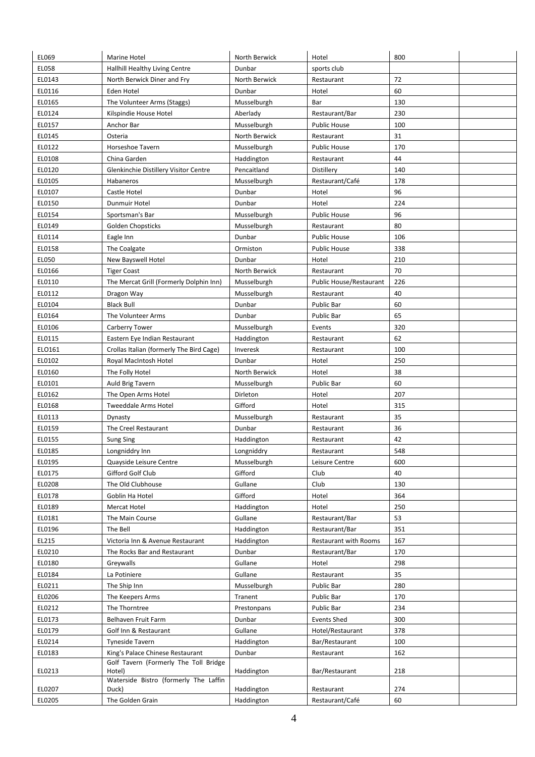| EL069  | Marine Hotel                                    | North Berwick | Hotel                          | 800 |  |
|--------|-------------------------------------------------|---------------|--------------------------------|-----|--|
| EL058  | Hallhill Healthy Living Centre                  | Dunbar        | sports club                    |     |  |
| EL0143 | North Berwick Diner and Fry                     | North Berwick | Restaurant                     | 72  |  |
| EL0116 | Eden Hotel                                      | Dunbar        | Hotel                          | 60  |  |
| EL0165 | The Volunteer Arms (Staggs)                     | Musselburgh   | Bar                            | 130 |  |
| EL0124 | Kilspindie House Hotel                          | Aberlady      | Restaurant/Bar                 | 230 |  |
| EL0157 | Anchor Bar                                      | Musselburgh   | <b>Public House</b>            | 100 |  |
| EL0145 | Osteria                                         | North Berwick | Restaurant                     | 31  |  |
| EL0122 | Horseshoe Tavern                                | Musselburgh   | <b>Public House</b>            | 170 |  |
| EL0108 | China Garden                                    | Haddington    | Restaurant                     | 44  |  |
| EL0120 | Glenkinchie Distillery Visitor Centre           | Pencaitland   | Distillery                     | 140 |  |
| EL0105 | Habaneros                                       | Musselburgh   | Restaurant/Café                | 178 |  |
| EL0107 | Castle Hotel                                    | Dunbar        | Hotel                          | 96  |  |
| EL0150 | Dunmuir Hotel                                   | Dunbar        | Hotel                          | 224 |  |
| EL0154 | Sportsman's Bar                                 | Musselburgh   | <b>Public House</b>            | 96  |  |
| EL0149 | Golden Chopsticks                               | Musselburgh   | Restaurant                     | 80  |  |
| EL0114 | Eagle Inn                                       | Dunbar        | <b>Public House</b>            | 106 |  |
| EL0158 | The Coalgate                                    | Ormiston      | <b>Public House</b>            | 338 |  |
| EL050  | New Bayswell Hotel                              | Dunbar        | Hotel                          | 210 |  |
| EL0166 | <b>Tiger Coast</b>                              | North Berwick | Restaurant                     | 70  |  |
| EL0110 | The Mercat Grill (Formerly Dolphin Inn)         | Musselburgh   | <b>Public House/Restaurant</b> | 226 |  |
| EL0112 | Dragon Way                                      | Musselburgh   | Restaurant                     | 40  |  |
| EL0104 | <b>Black Bull</b>                               | Dunbar        | Public Bar                     | 60  |  |
| EL0164 | The Volunteer Arms                              | Dunbar        | Public Bar                     | 65  |  |
| EL0106 | Carberry Tower                                  | Musselburgh   | Events                         | 320 |  |
| EL0115 | Eastern Eye Indian Restaurant                   | Haddington    | Restaurant                     | 62  |  |
| ELO161 | Crollas Italian (formerly The Bird Cage)        | Inveresk      | Restaurant                     | 100 |  |
| EL0102 | Royal MacIntosh Hotel                           | Dunbar        | Hotel                          | 250 |  |
| EL0160 | The Folly Hotel                                 | North Berwick | Hotel                          | 38  |  |
| EL0101 | Auld Brig Tavern                                | Musselburgh   | Public Bar                     | 60  |  |
| EL0162 | The Open Arms Hotel                             | Dirleton      | Hotel                          | 207 |  |
| EL0168 | <b>Tweeddale Arms Hotel</b>                     | Gifford       | Hotel                          | 315 |  |
| EL0113 | Dynasty                                         | Musselburgh   | Restaurant                     | 35  |  |
| EL0159 | The Creel Restaurant                            | Dunbar        | Restaurant                     | 36  |  |
| EL0155 | <b>Sung Sing</b>                                | Haddington    | Restaurant                     | 42  |  |
| EL0185 | Longniddry Inn                                  | Longniddry    | Restaurant                     | 548 |  |
| EL0195 | Quayside Leisure Centre                         | Musselburgh   | Leisure Centre                 | 600 |  |
| EL0175 | Gifford Golf Club                               | Gifford       | Club                           | 40  |  |
| EL0208 | The Old Clubhouse                               | Gullane       | Club                           | 130 |  |
| EL0178 | Goblin Ha Hotel                                 | Gifford       | Hotel                          | 364 |  |
| EL0189 | Mercat Hotel                                    | Haddington    | Hotel                          | 250 |  |
| EL0181 | The Main Course                                 | Gullane       | Restaurant/Bar                 | 53  |  |
| EL0196 | The Bell                                        | Haddington    | Restaurant/Bar                 | 351 |  |
| EL215  | Victoria Inn & Avenue Restaurant                | Haddington    | <b>Restaurant with Rooms</b>   | 167 |  |
| EL0210 | The Rocks Bar and Restaurant                    | Dunbar        | Restaurant/Bar                 | 170 |  |
| EL0180 | Greywalls                                       | Gullane       | Hotel                          | 298 |  |
| EL0184 | La Potiniere                                    | Gullane       | Restaurant                     | 35  |  |
| EL0211 | The Ship Inn                                    | Musselburgh   | Public Bar                     | 280 |  |
| EL0206 | The Keepers Arms                                | Tranent       | Public Bar                     | 170 |  |
| EL0212 | The Thorntree                                   | Prestonpans   | Public Bar                     | 234 |  |
| EL0173 | Belhaven Fruit Farm                             | Dunbar        | <b>Events Shed</b>             | 300 |  |
| EL0179 | Golf Inn & Restaurant                           | Gullane       | Hotel/Restaurant               | 378 |  |
| EL0214 | <b>Tyneside Tavern</b>                          | Haddington    | Bar/Restaurant                 | 100 |  |
| EL0183 | King's Palace Chinese Restaurant                | Dunbar        | Restaurant                     | 162 |  |
| EL0213 | Golf Tavern (Formerly The Toll Bridge<br>Hotel) | Haddington    | Bar/Restaurant                 | 218 |  |
| EL0207 | Waterside Bistro (formerly The Laffin<br>Duck)  | Haddington    |                                | 274 |  |
| EL0205 | The Golden Grain                                | Haddington    | Restaurant<br>Restaurant/Café  | 60  |  |
|        |                                                 |               |                                |     |  |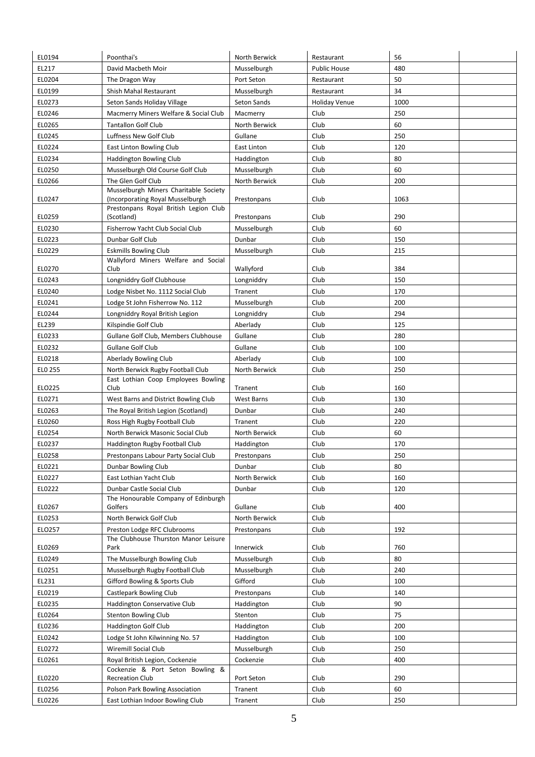| EL0194  | Poonthai's                                                                | North Berwick            | Restaurant          | 56   |  |
|---------|---------------------------------------------------------------------------|--------------------------|---------------------|------|--|
| EL217   | David Macbeth Moir                                                        | Musselburgh              | <b>Public House</b> | 480  |  |
| EL0204  | The Dragon Way                                                            | Port Seton               | Restaurant          | 50   |  |
| EL0199  | Shish Mahal Restaurant                                                    | Musselburgh              | Restaurant          | 34   |  |
| EL0273  | Seton Sands Holiday Village                                               | Seton Sands              | Holiday Venue       | 1000 |  |
| EL0246  | Macmerry Miners Welfare & Social Club                                     | Macmerry                 | Club                | 250  |  |
| EL0265  | <b>Tantallon Golf Club</b>                                                | North Berwick            | Club                | 60   |  |
| EL0245  | Luffness New Golf Club                                                    | Gullane                  | Club                | 250  |  |
| EL0224  | East Linton Bowling Club                                                  | East Linton              | Club                | 120  |  |
| EL0234  | Haddington Bowling Club                                                   | Haddington               | Club                | 80   |  |
| EL0250  | Musselburgh Old Course Golf Club                                          | Musselburgh              | Club                | 60   |  |
| EL0266  | The Glen Golf Club                                                        | North Berwick            | Club                | 200  |  |
| EL0247  | Musselburgh Miners Charitable Society<br>(Incorporating Royal Musselburgh | Prestonpans              | Club                | 1063 |  |
| EL0259  | Prestonpans Royal British Legion Club<br>(Scotland)                       | Prestonpans              | Club                | 290  |  |
| EL0230  | Fisherrow Yacht Club Social Club                                          | Musselburgh              | Club                | 60   |  |
| EL0223  | Dunbar Golf Club                                                          | Dunbar                   | Club                | 150  |  |
| EL0229  | <b>Eskmills Bowling Club</b>                                              | Musselburgh              | Club                | 215  |  |
| EL0270  | Wallyford Miners Welfare and Social<br>Club                               | Wallyford                | Club                | 384  |  |
| EL0243  | Longniddry Golf Clubhouse                                                 | Longniddry               | Club                | 150  |  |
| EL0240  | Lodge Nisbet No. 1112 Social Club                                         | Tranent                  | Club                | 170  |  |
| EL0241  | Lodge St John Fisherrow No. 112                                           | Musselburgh              | Club                | 200  |  |
| EL0244  | Longniddry Royal British Legion                                           | Longniddry               | Club                | 294  |  |
| EL239   | Kilspindie Golf Club                                                      | Aberlady                 | Club                | 125  |  |
| EL0233  | Gullane Golf Club, Members Clubhouse                                      | Gullane                  | Club                | 280  |  |
| EL0232  | <b>Gullane Golf Club</b>                                                  | Gullane                  | Club                | 100  |  |
| EL0218  | Aberlady Bowling Club                                                     | Aberlady                 | Club                | 100  |  |
| ELO 255 | North Berwick Rugby Football Club                                         | North Berwick            | Club                | 250  |  |
| ELO225  | East Lothian Coop Employees Bowling<br>Club                               | Tranent                  | Club                | 160  |  |
| EL0271  | West Barns and District Bowling Club                                      | West Barns               | Club                | 130  |  |
| EL0263  | The Royal British Legion (Scotland)                                       | Dunbar                   | Club                | 240  |  |
| EL0260  | Ross High Rugby Football Club                                             | Tranent                  | Club                | 220  |  |
| EL0254  | North Berwick Masonic Social Club                                         | North Berwick            | Club                | 60   |  |
| EL0237  | Haddington Rugby Football Club                                            | Haddington               | Club                | 170  |  |
| EL0258  | Prestonpans Labour Party Social Club                                      | Prestonpans              | Club                | 250  |  |
| EL0221  | Dunbar Bowling Club                                                       | Dunbar                   | Club                | 80   |  |
| EL0227  | East Lothian Yacht Club                                                   | North Berwick            | Club                | 160  |  |
| EL0222  | Dunbar Castle Social Club                                                 | Dunbar                   | Club                | 120  |  |
| EL0267  | The Honourable Company of Edinburgh                                       |                          | Club                |      |  |
| EL0253  | Golfers<br>North Berwick Golf Club                                        | Gullane<br>North Berwick | Club                | 400  |  |
| ELO257  | Preston Lodge RFC Clubrooms                                               | Prestonpans              | Club                | 192  |  |
|         | The Clubhouse Thurston Manor Leisure                                      |                          |                     |      |  |
| EL0269  | Park                                                                      | Innerwick                | Club                | 760  |  |
| EL0249  | The Musselburgh Bowling Club                                              | Musselburgh              | Club                | 80   |  |
| EL0251  | Musselburgh Rugby Football Club                                           | Musselburgh              | Club                | 240  |  |
| EL231   | Gifford Bowling & Sports Club                                             | Gifford                  | Club                | 100  |  |
| EL0219  | Castlepark Bowling Club                                                   | Prestonpans              | Club                | 140  |  |
| EL0235  | Haddington Conservative Club                                              | Haddington               | Club                | 90   |  |
| EL0264  | <b>Stenton Bowling Club</b>                                               | Stenton                  | Club                | 75   |  |
| EL0236  | <b>Haddington Golf Club</b>                                               | Haddington               | Club                | 200  |  |
| EL0242  | Lodge St John Kilwinning No. 57                                           | Haddington               | Club                | 100  |  |
| EL0272  | Wiremill Social Club                                                      | Musselburgh              | Club                | 250  |  |
| EL0261  | Royal British Legion, Cockenzie                                           | Cockenzie                | Club                | 400  |  |
| EL0220  | Cockenzie & Port Seton Bowling &<br><b>Recreation Club</b>                | Port Seton               | Club                | 290  |  |
| EL0256  | Polson Park Bowling Association                                           | Tranent                  | Club                | 60   |  |
| EL0226  | East Lothian Indoor Bowling Club                                          | Tranent                  | Club                | 250  |  |